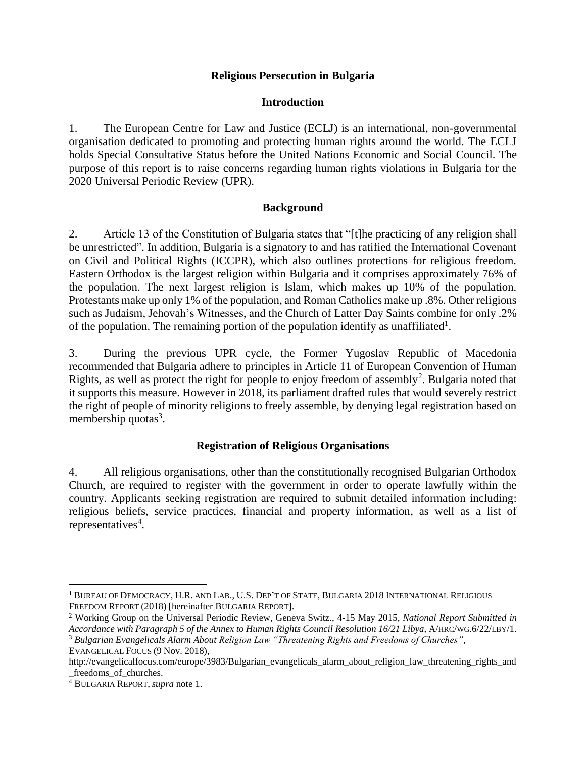### **Religious Persecution in Bulgaria**

### **Introduction**

1. The European Centre for Law and Justice (ECLJ) is an international, non-governmental organisation dedicated to promoting and protecting human rights around the world. The ECLJ holds Special Consultative Status before the United Nations Economic and Social Council. The purpose of this report is to raise concerns regarding human rights violations in Bulgaria for the 2020 Universal Periodic Review (UPR).

#### **Background**

2. Article 13 of the Constitution of Bulgaria states that "[t]he practicing of any religion shall be unrestricted". In addition, Bulgaria is a signatory to and has ratified the International Covenant on Civil and Political Rights (ICCPR), which also outlines protections for religious freedom. Eastern Orthodox is the largest religion within Bulgaria and it comprises approximately 76% of the population. The next largest religion is Islam, which makes up 10% of the population. Protestants make up only 1% of the population, and Roman Catholics make up .8%. Other religions such as Judaism, Jehovah's Witnesses, and the Church of Latter Day Saints combine for only .2% of the population. The remaining portion of the population identify as unaffiliated<sup>1</sup>.

3. During the previous UPR cycle, the Former Yugoslav Republic of Macedonia recommended that Bulgaria adhere to principles in Article 11 of European Convention of Human Rights, as well as protect the right for people to enjoy freedom of assembly<sup>2</sup>. Bulgaria noted that it supports this measure. However in 2018, its parliament drafted rules that would severely restrict the right of people of minority religions to freely assemble, by denying legal registration based on membership quotas<sup>3</sup>.

# **Registration of Religious Organisations**

4. All religious organisations, other than the constitutionally recognised Bulgarian Orthodox Church, are required to register with the government in order to operate lawfully within the country. Applicants seeking registration are required to submit detailed information including: religious beliefs, service practices, financial and property information, as well as a list of representatives<sup>4</sup>.

 $\overline{a}$ 

<sup>1</sup> BUREAU OF DEMOCRACY, H.R. AND LAB., U.S. DEP'T OF STATE, BULGARIA 2018 INTERNATIONAL RELIGIOUS FREEDOM REPORT (2018) [hereinafter BULGARIA REPORT].

<sup>2</sup> Working Group on the Universal Periodic Review, Geneva Switz., 4-15 May 2015, *National Report Submitted in*  Accordance with Paragraph 5 of the Annex to Human Rights Council Resolution 16/21 Libya, A/HRC/WG.6/22/LBY/1.

<sup>3</sup> *Bulgarian Evangelicals Alarm About Religion Law "Threatening Rights and Freedoms of Churches"*, EVANGELICAL FOCUS (9 Nov. 2018),

http://evangelicalfocus.com/europe/3983/Bulgarian\_evangelicals\_alarm\_about\_religion\_law\_threatening\_rights\_and \_freedoms\_of\_churches.

<sup>4</sup> BULGARIA REPORT, *supra* note 1.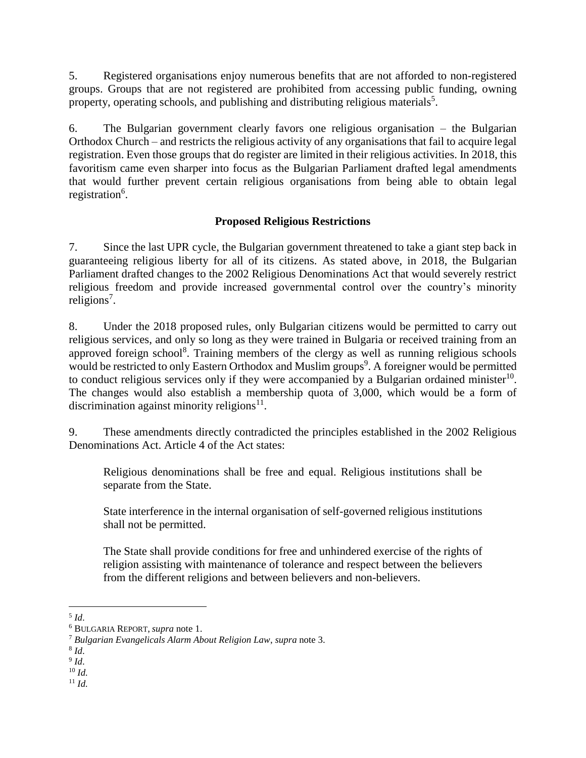5. Registered organisations enjoy numerous benefits that are not afforded to non-registered groups. Groups that are not registered are prohibited from accessing public funding, owning property, operating schools, and publishing and distributing religious materials<sup>5</sup>.

6. The Bulgarian government clearly favors one religious organisation – the Bulgarian Orthodox Church – and restricts the religious activity of any organisations that fail to acquire legal registration. Even those groups that do register are limited in their religious activities. In 2018, this favoritism came even sharper into focus as the Bulgarian Parliament drafted legal amendments that would further prevent certain religious organisations from being able to obtain legal registration<sup>6</sup>.

# **Proposed Religious Restrictions**

7. Since the last UPR cycle, the Bulgarian government threatened to take a giant step back in guaranteeing religious liberty for all of its citizens. As stated above, in 2018, the Bulgarian Parliament drafted changes to the 2002 Religious Denominations Act that would severely restrict religious freedom and provide increased governmental control over the country's minority religions<sup>7</sup>.

8. Under the 2018 proposed rules, only Bulgarian citizens would be permitted to carry out religious services, and only so long as they were trained in Bulgaria or received training from an approved foreign school<sup>8</sup>. Training members of the clergy as well as running religious schools would be restricted to only Eastern Orthodox and Muslim groups<sup>9</sup>. A foreigner would be permitted to conduct religious services only if they were accompanied by a Bulgarian ordained minister<sup>10</sup>. The changes would also establish a membership quota of 3,000, which would be a form of discrimination against minority religions $11$ .

9. These amendments directly contradicted the principles established in the 2002 Religious Denominations Act. Article 4 of the Act states:

Religious denominations shall be free and equal. Religious institutions shall be separate from the State.

State interference in the internal organisation of self-governed religious institutions shall not be permitted.

The State shall provide conditions for free and unhindered exercise of the rights of religion assisting with maintenance of tolerance and respect between the believers from the different religions and between believers and non-believers.

 $\overline{a}$ 5 *Id*.

<sup>6</sup> BULGARIA REPORT, *supra* note 1.

<sup>7</sup> *Bulgarian Evangelicals Alarm About Religion Law*, *supra* note 3.

<sup>8</sup> *Id*.

<sup>9</sup> *Id*.

<sup>10</sup> *Id.*

<sup>11</sup> *Id.*